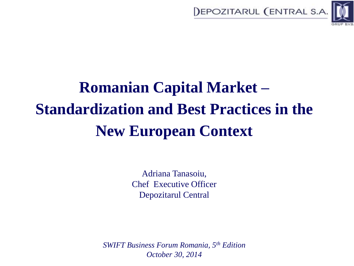



# **Romanian Capital Market – Standardization and Best Practices in the New European Context**

Adriana Tanasoiu, Chef Executive Officer Depozitarul Central

*SWIFT Business Forum Romania, 5th Edition October 30, 2014*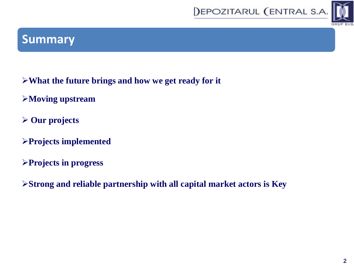



# **Summary**

- **What the future brings and how we get ready for it**
- **Moving upstream**
- **Our projects**
- **Projects implemented**
- **Projects in progress**
- **Strong and reliable partnership with all capital market actors is Key**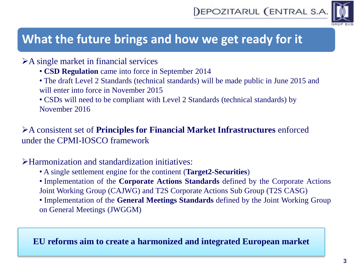

# **What the future brings and how we get ready for it**

#### A single market in financial services

- **CSD Regulation** came into force in September 2014
- The draft Level 2 Standards (technical standards) will be made public in June 2015 and will enter into force in November 2015

• CSDs will need to be compliant with Level 2 Standards (technical standards) by November 2016

#### A consistent set of **Principles for Financial Market Infrastructures** enforced under the CPMI-IOSCO framework

#### Harmonization and standardization initiatives:

- A single settlement engine for the continent (**Target2-Securities**)
- Implementation of the **Corporate Actions Standards** defined by the Corporate Actions Joint Working Group (CAJWG) and T2S Corporate Actions Sub Group (T2S CASG)
- Implementation of the **General Meetings Standards** defined by the Joint Working Group on General Meetings (JWGGM)

#### **EU reforms aim to create a harmonized and integrated European market**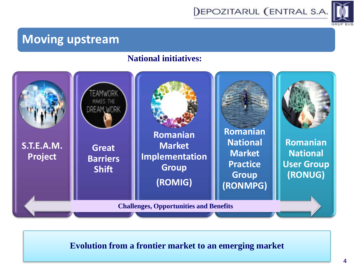



## **Moving upstream**

#### **National initiatives:**



#### **Evolution from a frontier market to an emerging market**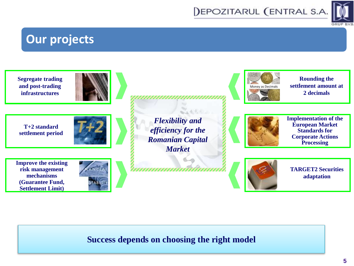

# **Our projects**

**Segregate trading and post-trading infrastructures**







**Improve the existing** 

**risk management mechanisms (Guarantee Fund, Settlement Limit)**



*Flexibility and efficiency for the Romanian Capital Market*

 $X_4$  (  $6.6$ 

mmmmmmmm



**Rounding the settlement amount at 2 decimals**



**Implementation of the European Market Standards for Corporate Actions Processing**



**TARGET2 Securities adaptation**

#### **Success depends on choosing the right model**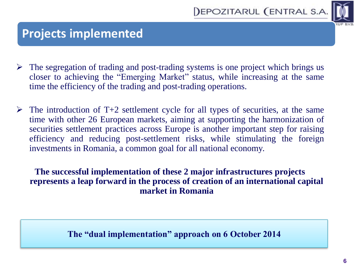



### **Projects implemented**

- $\triangleright$  The segregation of trading and post-trading systems is one project which brings us closer to achieving the "Emerging Market" status, while increasing at the same time the efficiency of the trading and post-trading operations.
- $\triangleright$  The introduction of T+2 settlement cycle for all types of securities, at the same time with other 26 European markets, aiming at supporting the harmonization of securities settlement practices across Europe is another important step for raising efficiency and reducing post-settlement risks, while stimulating the foreign investments in Romania, a common goal for all national economy.

#### **The successful implementation of these 2 major infrastructures projects represents a leap forward in the process of creation of an international capital market in Romania**

#### **The "dual implementation" approach on 6 October 2014**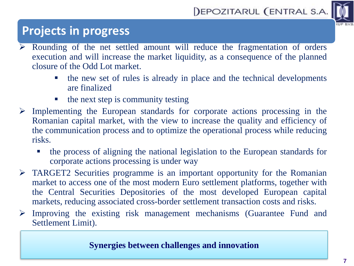



# **Projects in progress**

- Rounding of the net settled amount will reduce the fragmentation of orders execution and will increase the market liquidity, as a consequence of the planned closure of the Odd Lot market.
	- the new set of rules is already in place and the technical developments are finalized
	- $\blacksquare$  the next step is community testing
- $\triangleright$  Implementing the European standards for corporate actions processing in the Romanian capital market, with the view to increase the quality and efficiency of the communication process and to optimize the operational process while reducing risks.
	- the process of aligning the national legislation to the European standards for corporate actions processing is under way
- $\triangleright$  TARGET2 Securities programme is an important opportunity for the Romanian market to access one of the most modern Euro settlement platforms, together with the Central Securities Depositories of the most developed European capital markets, reducing associated cross-border settlement transaction costs and risks.
- $\triangleright$  Improving the existing risk management mechanisms (Guarantee Fund and Settlement Limit).

#### **Synergies between challenges and innovation**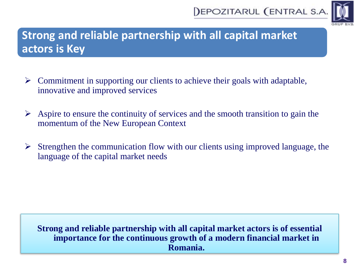



# **Strong and reliable partnership with all capital market actors is Key**

- $\triangleright$  Commitment in supporting our clients to achieve their goals with adaptable, innovative and improved services
- $\triangleright$  Aspire to ensure the continuity of services and the smooth transition to gain the momentum of the New European Context
- $\triangleright$  Strengthen the communication flow with our clients using improved language, the language of the capital market needs

**Strong and reliable partnership with all capital market actors is of essential importance for the continuous growth of a modern financial market in Romania.**